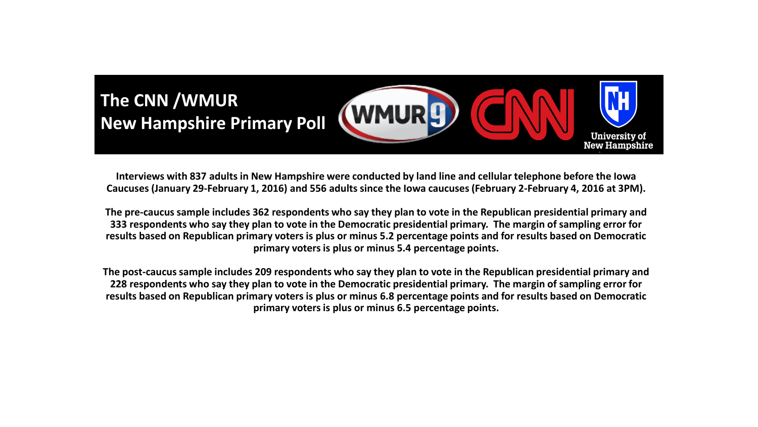

**Interviews with 837 adults in New Hampshire were conducted by land line and cellular telephone before the Iowa Caucuses (January 29-February 1, 2016) and 556 adults since the Iowa caucuses (February 2-February 4, 2016 at 3PM).** 

**The pre-caucus sample includes 362 respondents who say they plan to vote in the Republican presidential primary and 333 respondents who say they plan to vote in the Democratic presidential primary. The margin of sampling error for results based on Republican primary voters is plus or minus 5.2 percentage points and for results based on Democratic primary voters is plus or minus 5.4 percentage points.**

**The post-caucus sample includes 209 respondents who say they plan to vote in the Republican presidential primary and 228 respondents who say they plan to vote in the Democratic presidential primary. The margin of sampling error for results based on Republican primary voters is plus or minus 6.8 percentage points and for results based on Democratic primary voters is plus or minus 6.5 percentage points.**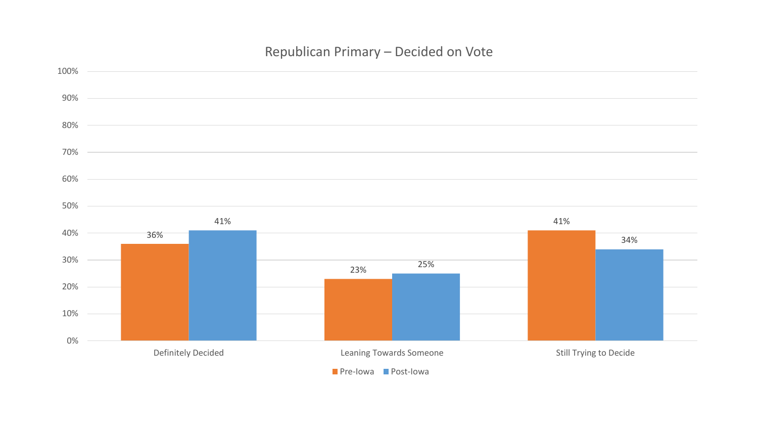## Republican Primary – Decided on Vote

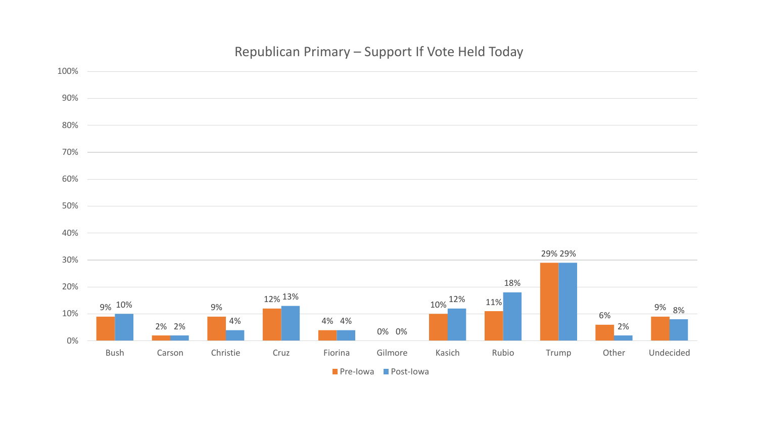## Republican Primary – Support If Vote Held Today

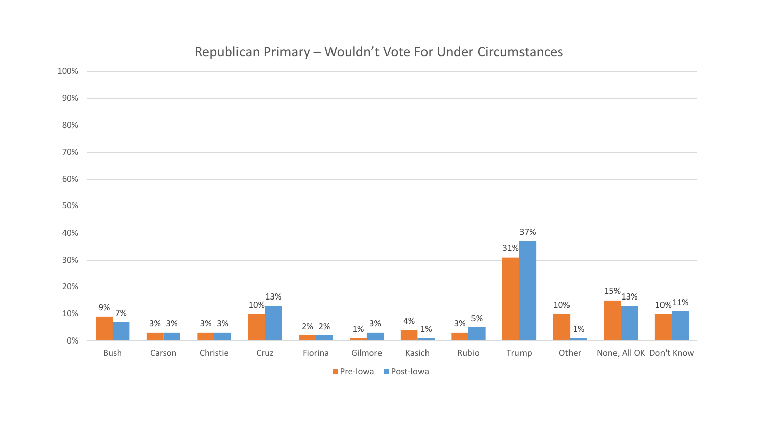## Republican Primary – Wouldn't Vote For Under Circumstances



**Pre-Iowa Post-Iowa**